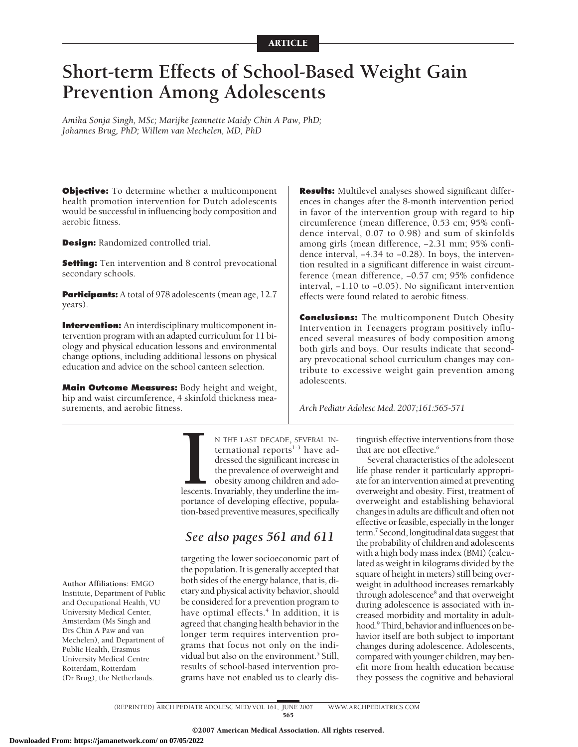# **Short-term Effects of School-Based Weight Gain Prevention Among Adolescents**

*Amika Sonja Singh, MSc; Marijke Jeannette Maidy Chin A Paw, PhD; Johannes Brug, PhD; Willem van Mechelen, MD, PhD*

**Objective:** To determine whether a multicomponent health promotion intervention for Dutch adolescents would be successful in influencing body composition and aerobic fitness.

**Design:** Randomized controlled trial.

**Setting:** Ten intervention and 8 control prevocational secondary schools.

**Participants:** A total of 978 adolescents (mean age, 12.7 years).

**Intervention:** An interdisciplinary multicomponent intervention program with an adapted curriculum for 11 biology and physical education lessons and environmental change options, including additional lessons on physical education and advice on the school canteen selection.

**Main Outcome Measures:** Body height and weight, hip and waist circumference, 4 skinfold thickness measurements, and aerobic fitness.

> **I**<br>lescents<br>portanc N THE LAST DECADE, SEVERAL INternational reports<sup>1-3</sup> have addressed the significant increase in the prevalence of overweight and obesity among children and adolescents. Invariably, they underline the importance of developing effective, population-based preventive measures, specifically

# *See also pages 561 and 611*

targeting the lower socioeconomic part of the population. It is generally accepted that both sides of the energy balance, that is, dietary and physical activity behavior, should be considered for a prevention program to have optimal effects.<sup>4</sup> In addition, it is agreed that changing health behavior in the longer term requires intervention programs that focus not only on the individual but also on the environment.<sup>5</sup> Still, results of school-based intervention programs have not enabled us to clearly dis-

**Results:** Multilevel analyses showed significant differences in changes after the 8-month intervention period in favor of the intervention group with regard to hip circumference (mean difference, 0.53 cm; 95% confidence interval, 0.07 to 0.98) and sum of skinfolds among girls (mean difference, −2.31 mm; 95% confidence interval, −4.34 to −0.28). In boys, the intervention resulted in a significant difference in waist circumference (mean difference, −0.57 cm; 95% confidence interval, −1.10 to −0.05). No significant intervention effects were found related to aerobic fitness.

**Conclusions:** The multicomponent Dutch Obesity Intervention in Teenagers program positively influenced several measures of body composition among both girls and boys. Our results indicate that secondary prevocational school curriculum changes may contribute to excessive weight gain prevention among adolescents.

*Arch Pediatr Adolesc Med. 2007;161:565-571*

tinguish effective interventions from those that are not effective.<sup>6</sup>

Several characteristics of the adolescent life phase render it particularly appropriate for an intervention aimed at preventing overweight and obesity. First, treatment of overweight and establishing behavioral changes in adults are difficult and often not effective or feasible, especially in the longer term.7 Second, longitudinal data suggest that the probability of children and adolescents with a high body mass index (BMI) (calculated as weight in kilograms divided by the square of height in meters) still being overweight in adulthood increases remarkably through adolescence<sup>8</sup> and that overweight during adolescence is associated with increased morbidity and mortality in adulthood.<sup>9</sup> Third, behavior and influences on behavior itself are both subject to important changes during adolescence. Adolescents, compared with younger children, may benefit more from health education because they possess the cognitive and behavioral

**Author Affiliations:** EMGO Institute, Department of Public and Occupational Health, VU University Medical Center, Amsterdam (Ms Singh and Drs Chin A Paw and van Mechelen), and Department of Public Health, Erasmus University Medical Centre Rotterdam, Rotterdam (Dr Brug), the Netherlands.

565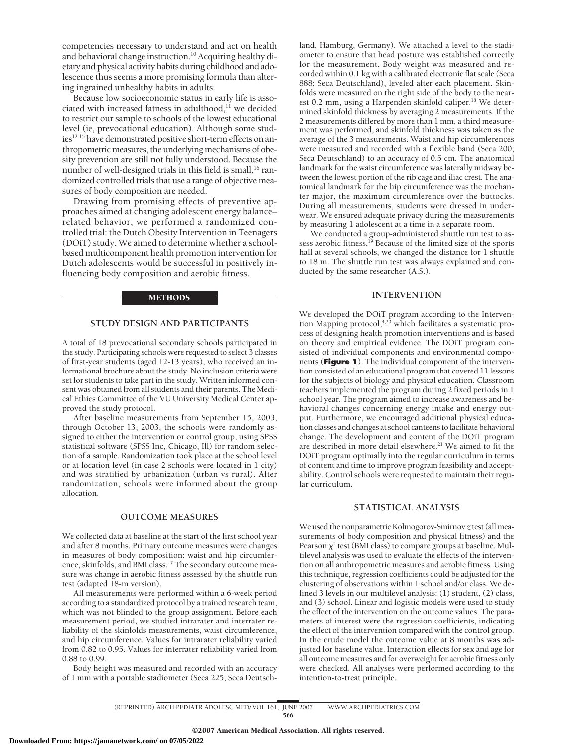competencies necessary to understand and act on health and behavioral change instruction.<sup>10</sup> Acquiring healthy dietary and physical activity habits during childhood and adolescence thus seems a more promising formula than altering ingrained unhealthy habits in adults.

Because low socioeconomic status in early life is associated with increased fatness in adulthood, $11$  we decided to restrict our sample to schools of the lowest educational level (ie, prevocational education). Although some studies<sup>12-15</sup> have demonstrated positive short-term effects on anthropometric measures, the underlying mechanisms of obesity prevention are still not fully understood. Because the number of well-designed trials in this field is small,<sup>16</sup> randomized controlled trials that use a range of objective measures of body composition are needed.

Drawing from promising effects of preventive approaches aimed at changing adolescent energy balance– related behavior, we performed a randomized controlled trial: the Dutch Obesity Intervention in Teenagers (DOiT) study. We aimed to determine whether a schoolbased multicomponent health promotion intervention for Dutch adolescents would be successful in positively influencing body composition and aerobic fitness.

#### METHODS

# **STUDY DESIGN AND PARTICIPANTS**

A total of 18 prevocational secondary schools participated in the study. Participating schools were requested to select 3 classes of first-year students (aged 12-13 years), who received an informational brochure about the study. No inclusion criteria were set for students to take part in the study. Written informed consent was obtained from all students and their parents. The Medical Ethics Committee of the VU University Medical Center approved the study protocol.

After baseline measurements from September 15, 2003, through October 13, 2003, the schools were randomly assigned to either the intervention or control group, using SPSS statistical software (SPSS Inc, Chicago, Ill) for random selection of a sample. Randomization took place at the school level or at location level (in case 2 schools were located in 1 city) and was stratified by urbanization (urban vs rural). After randomization, schools were informed about the group allocation.

## **OUTCOME MEASURES**

We collected data at baseline at the start of the first school year and after 8 months. Primary outcome measures were changes in measures of body composition: waist and hip circumference, skinfolds, and BMI class.<sup>17</sup> The secondary outcome measure was change in aerobic fitness assessed by the shuttle run test (adapted 18-m version).

All measurements were performed within a 6-week period according to a standardized protocol by a trained research team, which was not blinded to the group assignment. Before each measurement period, we studied intrarater and interrater reliability of the skinfolds measurements, waist circumference, and hip circumference. Values for intrarater reliability varied from 0.82 to 0.95. Values for interrater reliability varied from 0.88 to 0.99.

Body height was measured and recorded with an accuracy of 1 mm with a portable stadiometer (Seca 225; Seca Deutschland, Hamburg, Germany). We attached a level to the stadiometer to ensure that head posture was established correctly for the measurement. Body weight was measured and recorded within 0.1 kg with a calibrated electronic flat scale (Seca 888; Seca Deutschland), leveled after each placement. Skinfolds were measured on the right side of the body to the nearest 0.2 mm, using a Harpenden skinfold caliper.<sup>18</sup> We determined skinfold thickness by averaging 2 measurements. If the 2 measurements differed by more than 1 mm, a third measurement was performed, and skinfold thickness was taken as the average of the 3 measurements. Waist and hip circumferences were measured and recorded with a flexible band (Seca 200; Seca Deutschland) to an accuracy of 0.5 cm. The anatomical landmark for the waist circumference was laterally midway between the lowest portion of the rib cage and iliac crest. The anatomical landmark for the hip circumference was the trochanter major, the maximum circumference over the buttocks. During all measurements, students were dressed in underwear. We ensured adequate privacy during the measurements by measuring 1 adolescent at a time in a separate room.

We conducted a group-administered shuttle run test to assess aerobic fitness.<sup>19</sup> Because of the limited size of the sports hall at several schools, we changed the distance for 1 shuttle to 18 m. The shuttle run test was always explained and conducted by the same researcher (A.S.).

# **INTERVENTION**

We developed the DOiT program according to the Intervention Mapping protocol,<sup>4,20</sup> which facilitates a systematic process of designing health promotion interventions and is based on theory and empirical evidence. The DOiT program consisted of individual components and environmental components (**Figure 1**). The individual component of the intervention consisted of an educational program that covered 11 lessons for the subjects of biology and physical education. Classroom teachers implemented the program during 2 fixed periods in 1 school year. The program aimed to increase awareness and behavioral changes concerning energy intake and energy output. Furthermore, we encouraged additional physical education classes and changes at school canteens to facilitate behavioral change. The development and content of the DOiT program are described in more detail elsewhere.<sup>21</sup> We aimed to fit the DOiT program optimally into the regular curriculum in terms of content and time to improve program feasibility and acceptability. Control schools were requested to maintain their regular curriculum.

# **STATISTICAL ANALYSIS**

We used the nonparametric Kolmogorov-Smirnov *z* test (all measurements of body composition and physical fitness) and the Pearson  $\chi^2$  test (BMI class) to compare groups at baseline. Multilevel analysis was used to evaluate the effects of the intervention on all anthropometric measures and aerobic fitness. Using this technique, regression coefficients could be adjusted for the clustering of observations within 1 school and/or class. We defined 3 levels in our multilevel analysis: (1) student, (2) class, and (3) school. Linear and logistic models were used to study the effect of the intervention on the outcome values. The parameters of interest were the regression coefficients, indicating the effect of the intervention compared with the control group. In the crude model the outcome value at 8 months was adjusted for baseline value. Interaction effects for sex and age for all outcome measures and for overweight for aerobic fitness only were checked. All analyses were performed according to the intention-to-treat principle.

(REPRINTED) ARCH PEDIATR ADOLESC MED/ VOL 161, JUNE 2007 WWW.ARCHPEDIATRICS.COM 566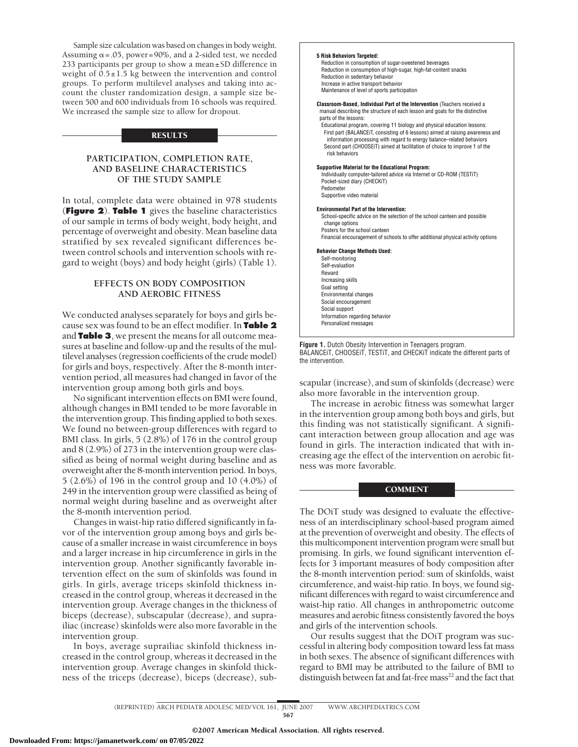Sample size calculation was based on changes in body weight. Assuming  $\alpha$  = .05, power=90%, and a 2-sided test, we needed 233 participants per group to show a mean±SD difference in weight of  $0.5\pm1.5$  kg between the intervention and control groups. To perform multilevel analyses and taking into account the cluster randomization design, a sample size between 500 and 600 individuals from 16 schools was required. We increased the sample size to allow for dropout.

# RESULTS

# **PARTICIPATION, COMPLETION RATE, AND BASELINE CHARACTERISTICS OF THE STUDY SAMPLE**

In total, complete data were obtained in 978 students (**Figure 2**). **Table 1** gives the baseline characteristics of our sample in terms of body weight, body height, and percentage of overweight and obesity. Mean baseline data stratified by sex revealed significant differences between control schools and intervention schools with regard to weight (boys) and body height (girls) (Table 1).

# **EFFECTS ON BODY COMPOSITION AND AEROBIC FITNESS**

We conducted analyses separately for boys and girls because sex was found to be an effect modifier. In **Table 2** and **Table 3**, we present the means for all outcome measures at baseline and follow-up and the results of the multilevel analyses (regression coefficients of the crude model) for girls and boys, respectively. After the 8-month intervention period, all measures had changed in favor of the intervention group among both girls and boys.

No significant intervention effects on BMI were found, although changes in BMI tended to be more favorable in the intervention group. This finding applied to both sexes. We found no between-group differences with regard to BMI class. In girls, 5 (2.8%) of 176 in the control group and 8 (2.9%) of 273 in the intervention group were classified as being of normal weight during baseline and as overweight after the 8-month intervention period. In boys, 5 (2.6%) of 196 in the control group and 10 (4.0%) of 249 in the intervention group were classified as being of normal weight during baseline and as overweight after the 8-month intervention period.

Changes in waist-hip ratio differed significantly in favor of the intervention group among boys and girls because of a smaller increase in waist circumference in boys and a larger increase in hip circumference in girls in the intervention group. Another significantly favorable intervention effect on the sum of skinfolds was found in girls. In girls, average triceps skinfold thickness increased in the control group, whereas it decreased in the intervention group. Average changes in the thickness of biceps (decrease), subscapular (decrease), and suprailiac (increase) skinfolds were also more favorable in the intervention group.

In boys, average suprailiac skinfold thickness increased in the control group, whereas it decreased in the intervention group. Average changes in skinfold thickness of the triceps (decrease), biceps (decrease), sub-

#### **5 Risk Behaviors Targeted:**

Reduction in consumption of sugar-sweetened beverages Reduction in consumption of high-sugar, high-fat-content snacks Reduction in sedentary behavior Increase in active transport behavior Maintenance of level of sports participation

**Classroom-Based, Individual Part of the Intervention** (Teachers received a manual describing the structure of each lesson and goals for the distinctive parts of the lessons:

Educational program, covering 11 biology and physical education lessons: First part (BALANCEiT, consisting of 6 lessons) aimed at raising awareness and information processing with regard to energy balance–related behaviors Second part (CHOOSEiT) aimed at facilitation of choice to improve 1 of the risk behaviors

#### **Supportive Material for the Educational Program:**

Individually computer-tailored advice via Internet or CD-ROM (TESTiT) Pocket-sized diary (CHECKiT) Pedometer

Supportive video material

#### **Environmental Part of the Intervention:**

School-specific advice on the selection of the school canteen and possible change options

Posters for the school canteen Financial encouragement of schools to offer additional physical activity options

## **Behavior Change Methods Used:**

Self-monitoring Self-evaluation Reward Increasing skills Goal setting Environmental changes Social encouragement Social support Information regarding behavior Personalized messages

**Figure 1.** Dutch Obesity Intervention in Teenagers program. BALANCEiT, CHOOSEiT, TESTiT, and CHECKiT indicate the different parts of the intervention.

scapular (increase), and sum of skinfolds (decrease) were also more favorable in the intervention group.

The increase in aerobic fitness was somewhat larger in the intervention group among both boys and girls, but this finding was not statistically significant. A significant interaction between group allocation and age was found in girls. The interaction indicated that with increasing age the effect of the intervention on aerobic fitness was more favorable.

# **COMMENT**

The DOiT study was designed to evaluate the effectiveness of an interdisciplinary school-based program aimed at the prevention of overweight and obesity. The effects of this multicomponent intervention program were small but promising. In girls, we found significant intervention effects for 3 important measures of body composition after the 8-month intervention period: sum of skinfolds, waist circumference, and waist-hip ratio. In boys, we found significant differences with regard to waist circumference and waist-hip ratio. All changes in anthropometric outcome measures and aerobic fitness consistently favored the boys and girls of the intervention schools.

Our results suggest that the DOiT program was successful in altering body composition toward less fat mass in both sexes. The absence of significant differences with regard to BMI may be attributed to the failure of BMI to distinguish between fat and fat-free mass<sup>22</sup> and the fact that

(REPRINTED) ARCH PEDIATR ADOLESC MED/ VOL 161, JUNE 2007 WWW.ARCHPEDIATRICS.COM 567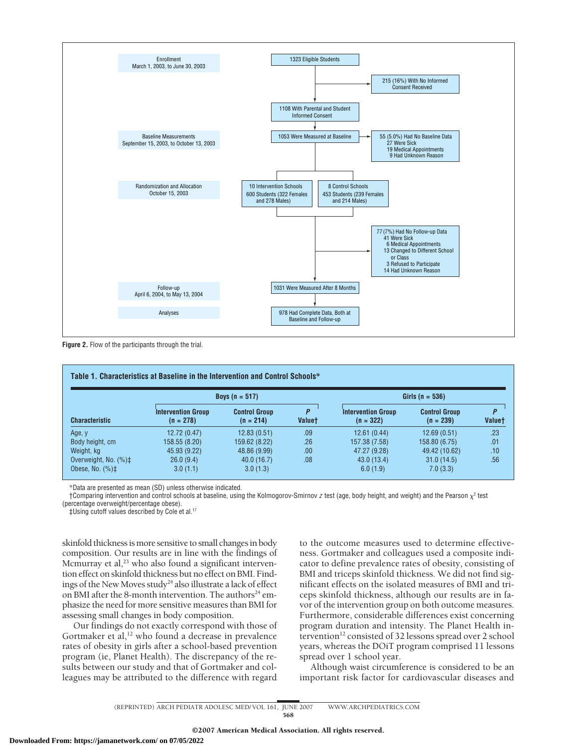

**Figure 2.** Flow of the participants through the trial.

| <b>Characteristic</b>           | Boys $(n = 517)$                         |                                     |                    | Girls ( $n = 536$ )                      |                                     |             |  |
|---------------------------------|------------------------------------------|-------------------------------------|--------------------|------------------------------------------|-------------------------------------|-------------|--|
|                                 | <b>Intervention Group</b><br>$(n = 278)$ | <b>Control Group</b><br>$(n = 214)$ | P<br><b>Valuet</b> | <b>Intervention Group</b><br>$(n = 322)$ | <b>Control Group</b><br>$(n = 239)$ | P<br>Valuet |  |
| Age, y                          | 12.72(0.47)                              | 12.83(0.51)                         | .09                | 12.61(0.44)                              | 12.69(0.51)                         | .23         |  |
| Body height, cm                 | 158.55 (8.20)                            | 159.62 (8.22)                       | .26                | 157.38 (7.58)                            | 158.80 (6.75)                       | .01         |  |
| Weight, kg                      | 45.93 (9.22)                             | 48.86 (9.99)                        | .00                | 47.27 (9.28)                             | 49.42 (10.62)                       | .10         |  |
| Overweight, No. $(\% )\ddagger$ | 26.0(9.4)                                | 40.0(16.7)                          | .08                | 43.0(13.4)                               | 31.0(14.5)                          | .56         |  |
| Obese, No. $(\% )\ddagger$      | 3.0(1.1)                                 | 3.0(1.3)                            |                    | 6.0(1.9)                                 | 7.0(3.3)                            |             |  |

\*Data are presented as mean (SD) unless otherwise indicated.

†Comparing intervention and control schools at baseline, using the Kolmogorov-Smirnov *z* test (age, body height, and weight) and the Pearson <sup>2</sup> test (percentage overweight/percentage obese).

‡Using cutoff values described by Cole et al.17

skinfold thickness is more sensitive to small changes in body composition. Our results are in line with the findings of Mcmurray et al,<sup>23</sup> who also found a significant intervention effect on skinfold thickness but no effect on BMI. Findings of the New Moves study<sup>24</sup> also illustrate a lack of effect on BMI after the 8-month intervention. The authors<sup>24</sup> emphasize the need for more sensitive measures than BMI for assessing small changes in body composition.

Our findings do not exactly correspond with those of Gortmaker et al,<sup>12</sup> who found a decrease in prevalence rates of obesity in girls after a school-based prevention program (ie, Planet Health). The discrepancy of the results between our study and that of Gortmaker and colleagues may be attributed to the difference with regard

to the outcome measures used to determine effectiveness. Gortmaker and colleagues used a composite indicator to define prevalence rates of obesity, consisting of BMI and triceps skinfold thickness. We did not find significant effects on the isolated measures of BMI and triceps skinfold thickness, although our results are in favor of the intervention group on both outcome measures. Furthermore, considerable differences exist concerning program duration and intensity. The Planet Health intervention<sup>12</sup> consisted of 32 lessons spread over 2 school years, whereas the DOiT program comprised 11 lessons spread over 1 school year.

Although waist circumference is considered to be an important risk factor for cardiovascular diseases and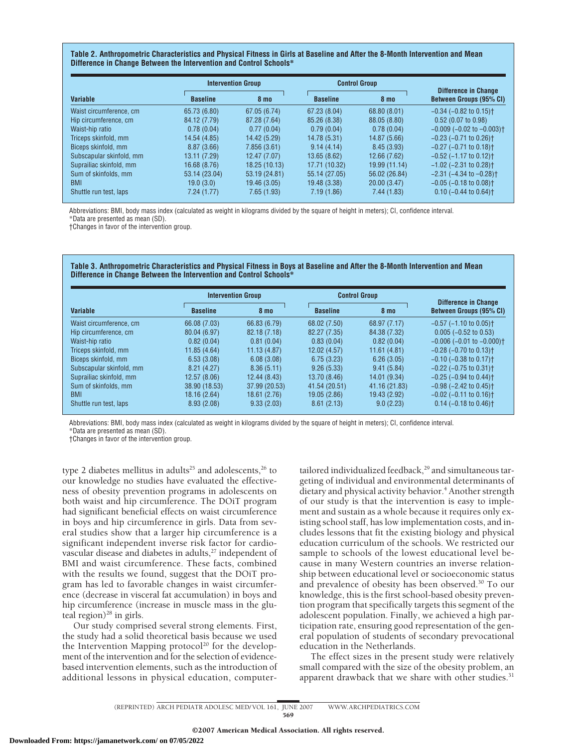# **Table 2. Anthropometric Characteristics and Physical Fitness in Girls at Baseline and After the 8-Month Intervention and Mean Difference in Change Between the Intervention and Control Schools\***

| <b>Variable</b>          | <b>Intervention Group</b> |               | <b>Control Group</b> |                 | <b>Difference in Change</b>                   |
|--------------------------|---------------------------|---------------|----------------------|-----------------|-----------------------------------------------|
|                          | <b>Baseline</b>           | 8 mo          | <b>Baseline</b>      | 8 <sub>mo</sub> | <b>Between Groups (95% CI)</b>                |
| Waist circumference, cm  | 65.73 (6.80)              | 67.05 (6.74)  | 67.23 (8.04)         | 68.80(8.01)     | $-0.34$ ( $-0.82$ to $0.15$ ) <sup>+</sup>    |
| Hip circumference, cm    | 84.12 (7.79)              | 87.28 (7.64)  | 85.26 (8.38)         | 88.05 (8.80)    | $0.52$ (0.07 to 0.98)                         |
| Waist-hip ratio          | 0.78(0.04)                | 0.77(0.04)    | 0.79(0.04)           | 0.78(0.04)      | $-0.009$ ( $-0.02$ to $-0.003$ ) <sup>+</sup> |
| Triceps skinfold, mm     | 14.54 (4.85)              | 14.42 (5.29)  | 14.78 (5.31)         | 14.87 (5.66)    | $-0.23$ ( $-0.71$ to 0.26) <sup>+</sup>       |
| Biceps skinfold, mm      | 8.87(3.66)                | 7.856(3.61)   | 9.14(4.14)           | 8.45(3.93)      | $-0.27$ (-0.71 to 0.18) <sup>+</sup>          |
| Subscapular skinfold, mm | 13.11 (7.29)              | 12.47 (7.07)  | 13.65(8.62)          | 12.66 (7.62)    | $-0.52$ ( $-1.17$ to $0.12$ ) <sup>+</sup>    |
| Suprailiac skinfold, mm  | 16.68(8.76)               | 18.25(10.13)  | 17.71 (10.32)        | 19.99 (11.14)   | $-1.02$ ( $-2.31$ to 0.28) <sup>+</sup>       |
| Sum of skinfolds, mm     | 53.14 (23.04)             | 53.19 (24.81) | 55.14 (27.05)        | 56.02 (26.84)   | $-2.31$ ( $-4.34$ to $-0.28$ ) <sup>+</sup>   |
| <b>BMI</b>               | 19.0(3.0)                 | 19.46 (3.05)  | 19.48(3.38)          | 20.00(3.47)     | $-0.05$ ( $-0.18$ to $0.08$ ) <sup>+</sup>    |
| Shuttle run test, laps   | 7.24(1.77)                | 7.65(1.93)    | 7.19(1.86)           | 7.44(1.83)      | $0.10$ (-0.44 to 0.64) <sup>+</sup>           |

Abbreviations: BMI, body mass index (calculated as weight in kilograms divided by the square of height in meters); CI, confidence interval. \*Data are presented as mean (SD).

†Changes in favor of the intervention group.

|                          | <b>Intervention Group</b> |               | <b>Control Group</b> |               |                                                               |  |
|--------------------------|---------------------------|---------------|----------------------|---------------|---------------------------------------------------------------|--|
| <b>Variable</b>          | <b>Baseline</b>           | 8 mo          | <b>Baseline</b>      | 8 mo          | <b>Difference in Change</b><br><b>Between Groups (95% CI)</b> |  |
| Waist circumference, cm  | 66.08 (7.03)              | 66.83 (6.79)  | 68.02 (7.50)         | 68.97 (7.17)  | $-0.57$ ( $-1.10$ to $0.05$ ) <sup>+</sup>                    |  |
| Hip circumference, cm    | 80.04 (6.97)              | 82.18 (7.18)  | 82.27 (7.35)         | 84.38 (7.32)  | $0.005$ (-0.52 to 0.53)                                       |  |
| Waist-hip ratio          | 0.82(0.04)                | 0.81(0.04)    | 0.83(0.04)           | 0.82(0.04)    | $-0.006$ ( $-0.01$ to $-0.000$ ) <sup>+</sup>                 |  |
| Triceps skinfold, mm     | 11.85(4.64)               | 11.13(4.87)   | 12.02(4.57)          | 11.61(4.81)   | $-0.28$ ( $-0.70$ to 0.13) <sup>+</sup>                       |  |
| Biceps skinfold, mm      | 6.53(3.08)                | 6.08(3.08)    | 6.75(3.23)           | 6.26(3.05)    | $-0.10$ ( $-0.38$ to 0.17) <sup>+</sup>                       |  |
| Subscapular skinfold, mm | 8.21(4.27)                | 8.36(5.11)    | 9.26(5.33)           | 9.41(5.84)    | $-0.22$ ( $-0.75$ to $0.31$ ) <sup>+</sup>                    |  |
| Suprailiac skinfold, mm  | 12.57(8.06)               | 12.44(8.43)   | 13.70 (8.46)         | 14.01 (9.34)  | $-0.25$ ( $-0.94$ to 0.44) <sup>+</sup>                       |  |
| Sum of skinfolds, mm     | 38.90 (18.53)             | 37.99 (20.53) | 41.54 (20.51)        | 41.16 (21.83) | $-0.98$ ( $-2.42$ to 0.45) <sup>+</sup>                       |  |
| <b>BMI</b>               | 18.16(2.64)               | 18.61(2.76)   | 19.05(2.86)          | 19.43 (2.92)  | $-0.02$ ( $-0.11$ to 0.16) <sup>+</sup>                       |  |
| Shuttle run test, laps   | 8.93(2.08)                | 9.33(2.03)    | 8.61(2.13)           | 9.0(2.23)     | $0.14$ (-0.18 to 0.46) <sup>†</sup>                           |  |

# **Table 3. Anthropometric Characteristics and Physical Fitness in Boys at Baseline and After the 8-Month Intervention and Mean Difference in Change Between the Intervention and Control Schools\***

Abbreviations: BMI, body mass index (calculated as weight in kilograms divided by the square of height in meters); CI, confidence interval. \*Data are presented as mean (SD).

†Changes in favor of the intervention group.

type 2 diabetes mellitus in adults<sup>25</sup> and adolescents,<sup>26</sup> to our knowledge no studies have evaluated the effectiveness of obesity prevention programs in adolescents on both waist and hip circumference. The DOiT program had significant beneficial effects on waist circumference in boys and hip circumference in girls. Data from several studies show that a larger hip circumference is a significant independent inverse risk factor for cardiovascular disease and diabetes in adults,<sup>27</sup> independent of BMI and waist circumference. These facts, combined with the results we found, suggest that the DOiT program has led to favorable changes in waist circumference (decrease in visceral fat accumulation) in boys and hip circumference (increase in muscle mass in the gluteal region) $^{28}$  in girls.

Our study comprised several strong elements. First, the study had a solid theoretical basis because we used the Intervention Mapping protocol<sup>20</sup> for the development of the intervention and for the selection of evidencebased intervention elements, such as the introduction of additional lessons in physical education, computer-

tailored individualized feedback, $29$  and simultaneous targeting of individual and environmental determinants of dietary and physical activity behavior.<sup>4</sup> Another strength of our study is that the intervention is easy to implement and sustain as a whole because it requires only existing school staff, has low implementation costs, and includes lessons that fit the existing biology and physical education curriculum of the schools. We restricted our sample to schools of the lowest educational level because in many Western countries an inverse relationship between educational level or socioeconomic status and prevalence of obesity has been observed.30 To our knowledge, this is the first school-based obesity prevention program that specifically targets this segment of the adolescent population. Finally, we achieved a high participation rate, ensuring good representation of the general population of students of secondary prevocational education in the Netherlands.

The effect sizes in the present study were relatively small compared with the size of the obesity problem, an apparent drawback that we share with other studies.<sup>31</sup>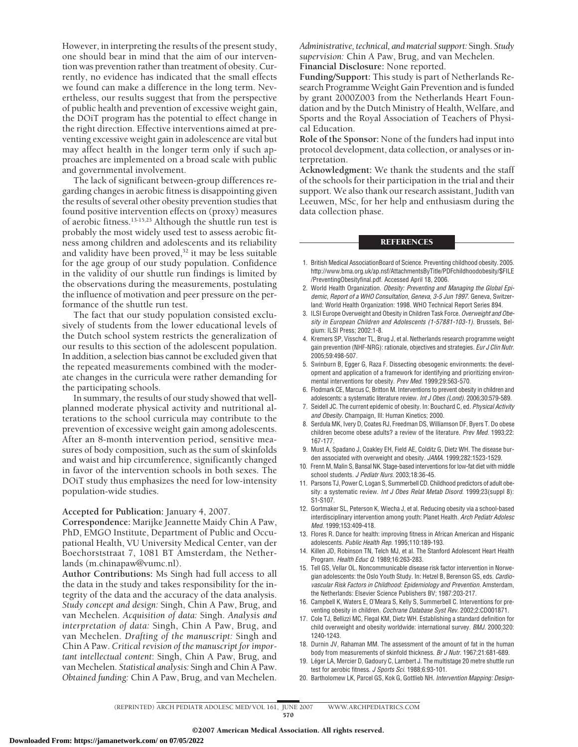However, in interpreting the results of the present study, one should bear in mind that the aim of our intervention was prevention rather than treatment of obesity. Currently, no evidence has indicated that the small effects we found can make a difference in the long term. Nevertheless, our results suggest that from the perspective of public health and prevention of excessive weight gain, the DOiT program has the potential to effect change in the right direction. Effective interventions aimed at preventing excessive weight gain in adolescence are vital but may affect health in the longer term only if such approaches are implemented on a broad scale with public and governmental involvement.

The lack of significant between-group differences regarding changes in aerobic fitness is disappointing given the results of several other obesity prevention studies that found positive intervention effects on (proxy) measures of aerobic fitness.13-15,23 Although the shuttle run test is probably the most widely used test to assess aerobic fitness among children and adolescents and its reliability and validity have been proved, $32$  it may be less suitable for the age group of our study population. Confidence in the validity of our shuttle run findings is limited by the observations during the measurements, postulating the influence of motivation and peer pressure on the performance of the shuttle run test.

The fact that our study population consisted exclusively of students from the lower educational levels of the Dutch school system restricts the generalization of our results to this section of the adolescent population. In addition, a selection bias cannot be excluded given that the repeated measurements combined with the moderate changes in the curricula were rather demanding for the participating schools.

In summary, the results of our study showed that wellplanned moderate physical activity and nutritional alterations to the school curricula may contribute to the prevention of excessive weight gain among adolescents. After an 8-month intervention period, sensitive measures of body composition, such as the sum of skinfolds and waist and hip circumference, significantly changed in favor of the intervention schools in both sexes. The DOiT study thus emphasizes the need for low-intensity population-wide studies.

# **Accepted for Publication:** January 4, 2007.

**Correspondence:** Marijke Jeannette Maidy Chin A Paw, PhD, EMGO Institute, Department of Public and Occupational Health, VU University Medical Center, van der Boechorststraat 7, 1081 BT Amsterdam, the Netherlands (m.chinapaw@vumc.nl).

**Author Contributions:** Ms Singh had full access to all the data in the study and takes responsibility for the integrity of the data and the accuracy of the data analysis. *Study concept and design:* Singh, Chin A Paw, Brug, and van Mechelen. *Acquisition of data:* Singh. *Analysis and interpretation of data:* Singh, Chin A Paw, Brug, and van Mechelen. *Drafting of the manuscript:* Singh and Chin A Paw. *Critical revision of the manuscript for important intellectual content*: Singh, Chin A Paw, Brug, and van Mechelen. *Statistical analysis:* Singh and Chin A Paw. *Obtained funding:* Chin A Paw, Brug, and van Mechelen. *Administrative, technical, and material support:* Singh. *Study supervision:* Chin A Paw, Brug, and van Mechelen. **Financial Disclosure:** None reported.

**Funding/Support:** This study is part of Netherlands Research Programme Weight Gain Prevention and is funded by grant 2000Z003 from the Netherlands Heart Foundation and by the Dutch Ministry of Health, Welfare, and Sports and the Royal Association of Teachers of Physical Education.

**Role of the Sponsor:** None of the funders had input into protocol development, data collection, or analyses or interpretation.

**Acknowledgment:** We thank the students and the staff of the schools for their participation in the trial and their support. We also thank our research assistant, Judith van Leeuwen, MSc, for her help and enthusiasm during the data collection phase.

## **REFERENCES**

- 1. British Medical AssociationBoard of Science. Preventing childhood obesity. 2005. http://www.bma.org.uk/ap.nsf/AttachmentsByTitle/PDFchildhoodobesity/\$FILE /PreventingObesityfinal.pdf. Accessed April 18, 2006.
- 2. World Health Organization. *Obesity: Preventing and Managing the Global Epidemic, Report of a WHO Consultation, Geneva, 3-5 Jun 1997.* Geneva, Switzerland: World Health Organization: 1998. WHO Technical Report Series 894.
- 3. ILSI Europe Overweight and Obesity in Children Task Force. *Overweight and Obesity in European Children and Adolescents (1-57881-103-1).* Brussels, Belgium: ILSI Press; 2002:1-8.
- 4. Kremers SP, Visscher TL, Brug J, et al. Netherlands research programme weight gain prevention (NHF-NRG): rationale, objectives and strategies. *Eur J Clin Nutr*. 2005;59:498-507.
- 5. Swinburn B, Egger G, Raza F. Dissecting obesogenic environments: the development and application of a framework for identifying and prioritizing environmental interventions for obesity. *Prev Med*. 1999;29:563-570.
- 6. Flodmark CE, Marcus C, Britton M. Interventions to prevent obesity in children and adolescents: a systematic literature review. *Int J Obes (Lond)*. 2006;30:579-589.
- 7. Seidell JC. The current epidemic of obesity. In: Bouchard C, ed. *Physical Activity and Obesity.* Champaign, Ill: Human Kinetics; 2000.
- 8. Serdula MK, Ivery D, Coates RJ, Freedman DS, Williamson DF, Byers T. Do obese children become obese adults? a review of the literature. *Prev Med*. 1993;22: 167-177.
- 9. Must A, Spadano J, Coakley EH, Field AE, Colditz G, Dietz WH. The disease burden associated with overweight and obesity. *JAMA*. 1999;282:1523-1529.
- 10. Frenn M, Malin S, Bansal NK. Stage-based interventions for low-fat diet with middle school students. *J Pediatr Nurs*. 2003;18:36-45.
- 11. Parsons TJ, Power C, Logan S, Summerbell CD. Childhood predictors of adult obesity: a systematic review. *Int J Obes Relat Metab Disord*. 1999;23(suppl 8): S1-S107.
- 12. Gortmaker SL, Peterson K, Wiecha J, et al. Reducing obesity via a school-based interdisciplinary intervention among youth: Planet Health. *Arch Pediatr Adolesc Med*. 1999;153:409-418.
- 13. Flores R. Dance for health: improving fitness in African American and Hispanic adolescents. *Public Health Rep*. 1995;110:189-193.
- 14. Killen JD, Robinson TN, Telch MJ, et al. The Stanford Adolescent Heart Health Program. *Health Educ Q*. 1989;16:263-283.
- 15. Tell GS, Vellar OL. Noncommunicable disease risk factor intervention in Norwegian adolescents: the Oslo Youth Study. In: Hetzel B, Berenson GS, eds. *Cardiovascular Risk Factors in Childhood: Epidemiology and Prevention.* Amsterdam, the Netherlands: Elsevier Science Publishers BV; 1987:203-217.
- 16. Campbell K, Waters E, O'Meara S, Kelly S, Summerbell C. Interventions for preventing obesity in children. *Cochrane Database Syst Rev*. 2002;2:CD001871.
- 17. Cole TJ, Bellizzi MC, Flegal KM, Dietz WH. Establishing a standard definition for child overweight and obesity worldwide: international survey. *BMJ*. 2000;320: 1240-1243.
- 18. Durnin JV, Rahaman MM. The assessment of the amount of fat in the human body from measurements of skinfold thickness. *Br J Nutr*. 1967;21:681-689.
- 19. Léger LA, Mercier D, Gadoury C, Lambert J. The multistage 20 metre shuttle run test for aerobic fitness. *J Sports Sci*. 1988;6:93-101.
- 20. Bartholomew LK, Parcel GS, Kok G, Gottlieb NH. *Intervention Mapping: Design-*

(REPRINTED) ARCH PEDIATR ADOLESC MED/ VOL 161, JUNE 2007 WWW.ARCHPEDIATRICS.COM 570